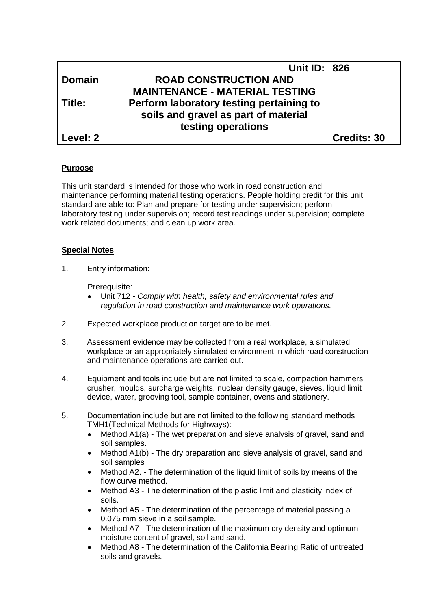|               | <b>Unit ID: 826</b>                      |                    |
|---------------|------------------------------------------|--------------------|
| <b>Domain</b> | <b>ROAD CONSTRUCTION AND</b>             |                    |
|               | <b>MAINTENANCE - MATERIAL TESTING</b>    |                    |
| Title:        | Perform laboratory testing pertaining to |                    |
|               | soils and gravel as part of material     |                    |
|               | testing operations                       |                    |
| Level: 2      |                                          | <b>Credits: 30</b> |

### **Purpose**

This unit standard is intended for those who work in road construction and maintenance performing material testing operations. People holding credit for this unit standard are able to: Plan and prepare for testing under supervision; perform laboratory testing under supervision; record test readings under supervision; complete work related documents; and clean up work area.

# **Special Notes**

1. Entry information:

Prerequisite:

- Unit 712 *- Comply with health, safety and environmental rules and regulation in road construction and maintenance work operations.*
- 2. Expected workplace production target are to be met.
- 3. Assessment evidence may be collected from a real workplace, a simulated workplace or an appropriately simulated environment in which road construction and maintenance operations are carried out.
- 4. Equipment and tools include but are not limited to scale, compaction hammers, crusher, moulds, surcharge weights, nuclear density gauge, sieves, liquid limit device, water, grooving tool, sample container, ovens and stationery.
- 5. Documentation include but are not limited to the following standard methods TMH1(Technical Methods for Highways):
	- Method A1(a) The wet preparation and sieve analysis of gravel, sand and soil samples.
	- Method A1(b) The dry preparation and sieve analysis of gravel, sand and soil samples
	- Method A2. The determination of the liquid limit of soils by means of the flow curve method.
	- Method A3 The determination of the plastic limit and plasticity index of soils.
	- Method A5 The determination of the percentage of material passing a 0.075 mm sieve in a soil sample.
	- Method A7 The determination of the maximum dry density and optimum moisture content of gravel, soil and sand.
	- Method A8 The determination of the California Bearing Ratio of untreated soils and gravels.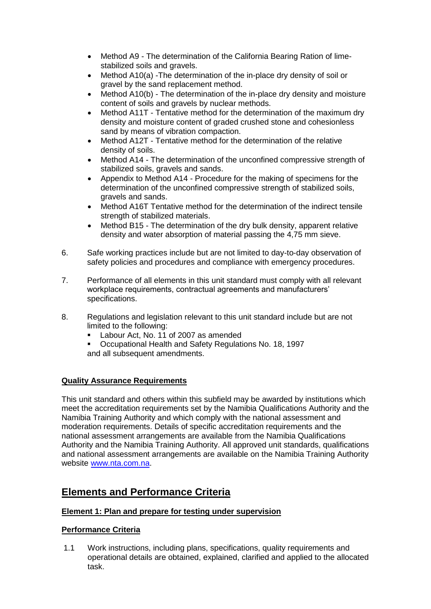- Method A9 The determination of the California Bearing Ration of limestabilized soils and gravels.
- Method A10(a) -The determination of the in-place dry density of soil or gravel by the sand replacement method.
- Method A10(b) The determination of the in-place dry density and moisture content of soils and gravels by nuclear methods.
- Method A11T Tentative method for the determination of the maximum dry density and moisture content of graded crushed stone and cohesionless sand by means of vibration compaction.
- Method A12T Tentative method for the determination of the relative density of soils.
- Method A14 The determination of the unconfined compressive strength of stabilized soils, gravels and sands.
- Appendix to Method A14 Procedure for the making of specimens for the determination of the unconfined compressive strength of stabilized soils, gravels and sands.
- Method A16T Tentative method for the determination of the indirect tensile strength of stabilized materials.
- Method B15 The determination of the dry bulk density, apparent relative density and water absorption of material passing the 4,75 mm sieve.
- 6. Safe working practices include but are not limited to day-to-day observation of safety policies and procedures and compliance with emergency procedures.
- 7. Performance of all elements in this unit standard must comply with all relevant workplace requirements, contractual agreements and manufacturers' specifications.
- 8. Regulations and legislation relevant to this unit standard include but are not limited to the following:
	- Labour Act, No. 11 of 2007 as amended
	- Occupational Health and Safety Regulations No. 18, 1997 and all subsequent amendments.

### **Quality Assurance Requirements**

This unit standard and others within this subfield may be awarded by institutions which meet the accreditation requirements set by the Namibia Qualifications Authority and the Namibia Training Authority and which comply with the national assessment and moderation requirements. Details of specific accreditation requirements and the national assessment arrangements are available from the Namibia Qualifications Authority and the Namibia Training Authority. All approved unit standards, qualifications and national assessment arrangements are available on the Namibia Training Authority website [www.nta.com.na.](http://www.nta.com.na/)

# **Elements and Performance Criteria**

### **Element 1: Plan and prepare for testing under supervision**

# **Performance Criteria**

1.1 Work instructions, including plans, specifications, quality requirements and operational details are obtained, explained, clarified and applied to the allocated task.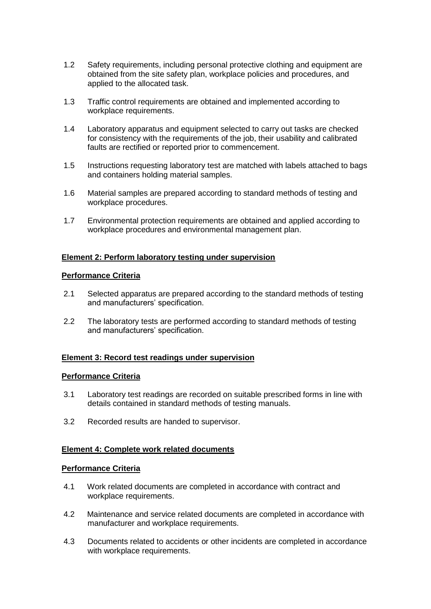- 1.2 Safety requirements, including personal protective clothing and equipment are obtained from the site safety plan, workplace policies and procedures, and applied to the allocated task.
- 1.3 Traffic control requirements are obtained and implemented according to workplace requirements.
- 1.4 Laboratory apparatus and equipment selected to carry out tasks are checked for consistency with the requirements of the job, their usability and calibrated faults are rectified or reported prior to commencement.
- 1.5 Instructions requesting laboratory test are matched with labels attached to bags and containers holding material samples.
- 1.6 Material samples are prepared according to standard methods of testing and workplace procedures.
- 1.7 Environmental protection requirements are obtained and applied according to workplace procedures and environmental management plan.

# **Element 2: Perform laboratory testing under supervision**

### **Performance Criteria**

- 2.1 Selected apparatus are prepared according to the standard methods of testing and manufacturers' specification.
- 2.2 The laboratory tests are performed according to standard methods of testing and manufacturers' specification.

### **Element 3: Record test readings under supervision**

#### **Performance Criteria**

- 3.1 Laboratory test readings are recorded on suitable prescribed forms in line with details contained in standard methods of testing manuals.
- 3.2 Recorded results are handed to supervisor.

### **Element 4: Complete work related documents**

#### **Performance Criteria**

- 4.1 Work related documents are completed in accordance with contract and workplace requirements.
- 4.2 Maintenance and service related documents are completed in accordance with manufacturer and workplace requirements.
- 4.3 Documents related to accidents or other incidents are completed in accordance with workplace requirements.